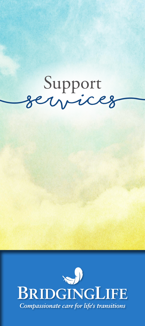# **(services** Support **)**

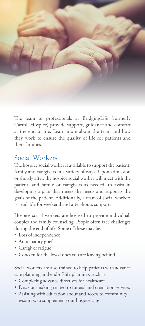

The team of professionals at BridgingLife (formerly Carroll Hospice) provide support, guidance and comfort at the end of life. Learn more about the team and how they work to ensure the quality of life for patients and their families.

#### Social Workers

The hospice social worker is available to support the patient, family and caregivers in a variety of ways. Upon admission or shortly after, the hospice social worker will meet with the patient, and family or caregivers as needed, to assist in developing a plan that meets the needs and supports the goals of the patient. Additionally, a team of social workers is available for weekend and after-hours support.

Hospice social workers are licensed to provide individual, couples and family counseling. People often face challenges during the end of life. Some of these may be:

- Loss of independence
- Anticipatory grief
- Caregiver fatigue
- Concern for the loved ones you are leaving behind

Social workers are also trained to help patients with advance care planning and end-of-life planning, such as:

- Completing advance directives for healthcare
- Decision-making related to funeral and cremation services
- Assisting with education about and access to community resources to supplement your hospice care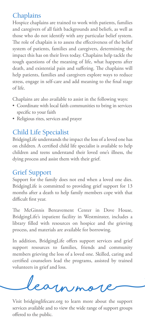## **Chaplains**

Hospice chaplains are trained to work with patients, families and caregivers of all faith backgrounds and beliefs, as well as those who do not identify with any particular belief system. The role of chaplain is to assess the effectiveness of the belief system of patients, families and caregivers, determining the impact this has on their lives today. Chaplains help tackle the tough questions of the meaning of life, what happens after death, and existential pain and suffering. The chaplains will help patients, families and caregivers explore ways to reduce stress, engage in self-care and add meaning to the final stage of life.

Chaplains are also available to assist in the following ways:

- Coordinate with local faith communities to bring in services specific to your faith
- Religious rites, services and prayer

## Child Life Specialist

BridgingLife understands the impact the loss of a loved one has on children. A certified child life specialist is available to help children and teens understand their loved one's illness, the dying process and assist them with their grief.

#### Grief Support

Support for the family does not end when a loved one dies. BridgingLife is committed to providing grief support for 13 months after a death to help family members cope with that difficult first year.

The McGinnis Bereavement Center in Dove House, BridgingLife's inpatient facility in Westminster, includes a library filled with resources on hospice and the grieving process, and materials are available for borrowing.

In addition, BridgingLife offers support services and grief support resources to families, friends and community members grieving the loss of a loved one. Skilled, caring and certified counselors lead the programs, assisted by trained volunteers in grief and loss.

**(learn more)**

Visit bridginglifecare.org to learn more about the support services available and to view the wide range of support groups offered to the public.